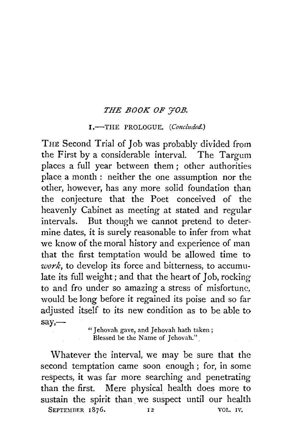## *THE BOOK OF YOB.*

## I.-THE PROLOGUE. *(Concluded.)*

THE Second Trial of Job was probably divided from the First by a considerable interval. The Targum places a full year between them; other authorities place a month : neither the one assumption nor the other, however, has any more solid foundation than the conjecture that the Poet conceived of the heavenly Cabinet as meeting at stated and regular intervals. But though we cannot pretend to determine dates, it is surely reasonable to infer from what we know of the moral history and experience of man that the first temptation would be allowed time to *work,* to develop its force and bitterness, to accumulate its full weight ; and that the heart of Job, rocking to and fro under so amazing a stress of misfortune, would be long before it regained its poise and so far adjusted itself to its new condition as to be able to say,—<br>" Jehovah gave, and Jehovah hath taken;

Blessed be the Name of *Jehovah.*"

Whatever the interval, we may be sure that the second temptation came soon enough ; for, in some respects, it was far more searching and penetrating than the first. Mere physical health does more to sustain the spirit than we suspect until our health SEPTEMBER 1876. 12 VOL. IV.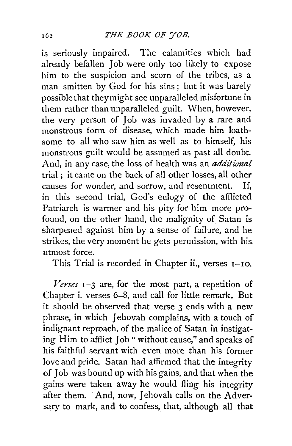is seriously impaired. The calamities which had already befallen Job were only too likely to expose him to the suspicion and scorn of the tribes, as a man smitten by God for his sins; but it was barely possible that they might see unparalleled misfortune in them rather than unparalleled guilt. When, however, the very person of Job was invaded by a rare and monstrous form of disease, which made him loathsome to all who saw him as well as to himself, his monstrous guilt would be assumed as past all doubt. And, in any case, the loss of health was an *additional* trial ; it came on the back of all other losses, all other causes for wonder, and sorrow, and resentment. If, in this second trial, God's eulogy of the afflicted Patriarch is warmer and his pity for him more profound, on the other hand, the malignity of Satan is sharpened against him by a sense of failure, and he strikes, the very moment he gets permission, with his utmost force.

This Trial is recorded in Chapter ii., verses 1-10.

*Verses* 1-3 are, for the most part, a repetition of Chapter i. verses 6-8, and call for little remark. But it should be observed that verse 3 ends with a new phrase, in which Jehovah complains, with a touch of indignant reproach, of the malice of Satan in instigating Him to afflict Job " without cause," and speaks of his faithful servant with even more than his former love and pride. Satan had affirmed that the integrity of Job was bound up with his gains, and that when the gains were taken away he would fling his integrity after them. And, now, Jehovah calls on the Adversary to mark, and to confess, that, although all that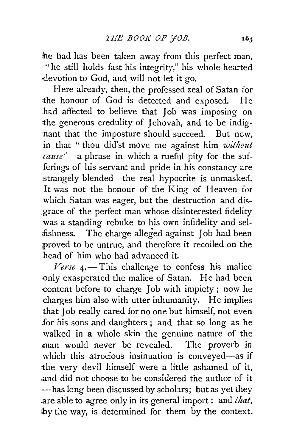he had has been taken away from this perfect man, "he still holds fast his integrity," his whole-hearted .devotion to God, and will not let it go.

Here already, then, the professed zeal of Satan for the honour of God is detected and exposed. He had affected to believe that Job was imposing on the generous credulity of Jehovah, and to be indignant that the imposture should succeed. But new, 1n that "thou did'st move me against him *without cause*"-a phrase in which a rueful pity for the sufferings of his servant and pride in his constancy are strangely blended—the real hypocrite is unmasked. It was not the honour of the King of Heaven for which Satan was eager, but the destruction and disgrace of the perfect man whose disinterested fidelity was a standing rebuke to his own infidelity and sel fishness. The charge alleged against Job had been ;proved to be untrue, and therefore it recoiled on the head of him who had advanced it.

 $Verse$   $\mu$ -This challenge to confess his malice ·Only exasperated the malice of Satan. He had been ·content before to charge Job with impiety ; now he ·charges him also with utter inhumanity. He implies that Job really cared for no one but himself, not even for his sons and daughters ; and that so long as he walked in a whole skin the genuine nature of the man would never be revealed. The proverb in which this atrocious insinuation is conveyed-as if the very devil himself were a little ashamed of it, .and did not choose to be considered the author of it -has long been discussed by scholars; but as yet they .are able to agree only in its general import: and *that,*  hy the way, is determined for them by the context.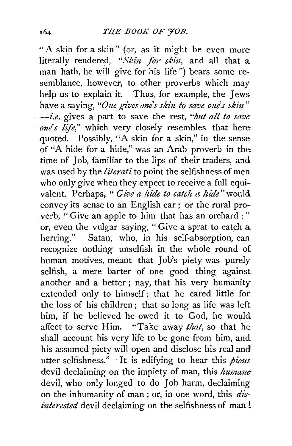"A skin for a skin" (or, as it might be even more literally rendered, "Skin for skin, and all that a man hath, he will give for his life ") bears some resemblance, however, to other proverbs which may help us to explain it. Thus, for example, the Jews. have a saying, "One gives one's skin to save one's skin" *---i.e.* gives a part to save the rest, *"bzet all to save one's life,"* which very closely resembles that here quoted. Possibly, "A skin for a skin," in the sense of "A hide for a hide," was an Arab proverb in the time of Job, familiar to the lips of their traders, and was used by the *literati* to point the selfishness of men who only give when they expect to receive a full equivalent. Perhaps, " *Give a hide to catch a hide"* would convey its sense to an English ear ; or the rural proverb, " Give an apple to him that has an orchard ; " or, even the vulgar saying, " Give a sprat to catch a herring." Satan, who, in his self-absorption, can recognize nothing unselfish in the whole round of human motives, meant that Job's piety was purely selfish, a mere barter of one good thing against another and a better ; nay, that his very humanity extended only to himself; that he cared little for· the loss of his children ; that so long as life was left him, if he believed he owed it to God, he would affect to serve Him. "Take away *that,* so that he shall account his very life to be gone from him, and his assumed piety will open and disclose his real and utter selfishness." It is edifying to hear this *pious*  devil declaiming on the impiety of man, this *humane*  devil, who only longed to do Job harm, declaiming on the inhumanity of man ; or, in one word, this *dis interested* devil declaiming on the selfishness of man !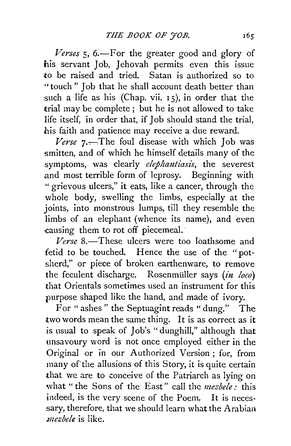Verses 5, 6.—For the greater good and glory of his servant Job. Jehovah permits even this issue to be raised and tried. Satan is authorized so to ·"touch " Job that he shall account death better than such a life as his (Chap. vii. 15), in order that the trial may be complete ; but he is not allowed to take life itself, in order that, if Job should stand the trial, his faith and patience may receive a due reward.

*Verse* 7.-. The foul disease with which Job was smitten, and of which he himself details many of the symptoms, was clearly *elephantiasis*, the severest .and most terrible form of leprosy. Beginning with " grievous ulcers," it eats, like a cancer, through the whole body, swelling the limbs, especially at the joints, into monstrous lumps, till they resemble the limbs of an elephant (whence its name), and even ·causing them to rot off piecemeal.·

*Verse* 8.-These ulcers were too loathsome and fetid to be touched. Hence the use of the "potsherd,'' or piece of broken earthenware, to remove the feculent discharge. Rosenmüller says *(in loco)* that Orientals sometimes used an instrument for this purpose shaped like the hand, and made of ivory.

For " ashes " the Septuagint reads " dung." The two words mean the same thing. It is as correct as it is usual to speak of Job's "dunghill," although that unsavoury word is not once employed either in the Original or in our Authorized Version; for, from many of'the allusions of this Story, it is quite certain that we are to conceive of the Patriarch as lying on what "the Sons of the East" call the *mezbele:* this indeed, is the very scene of the Poem. It is necessary, therefore, that we should learn what the Arabian. *.mezbele* is like.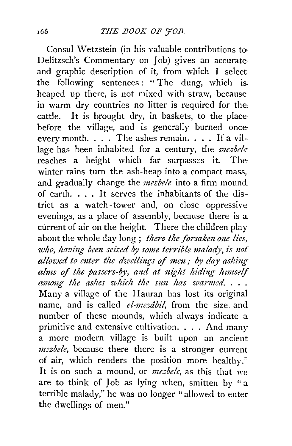Consul Wetzstein (in his valuable contributions to-Delitzsch's Commentary on Job) gives an accurate and graphic description of it, from which I select. the following sentences : " The dung, which is. heaped up there, is not mixed with straw, because in warm dry countries no litter is required for the: cattle. It is brought dry, in baskets, to the placebefore the village, and is generally burned onceevery month.  $\ldots$  The ashes remain.  $\ldots$  If a village has been inhabited for a century, the *mezbele* reaches a height which far surpasses it. Thewinter rains turn the ash-heap into a compact mass. and gradually change the *mezbele* into a firm mounct of earth. • . . It serves the inhabitants of the dis-· trict as a watch -tower and, on close oppressive evenings, as a place of assembly, because there is a current of air on the height. There the children play about the whole day long; *there the forsaken one lies*, who, having been seized by some terrible malady, is not allowed to enter the dwellings of men; by day asking alms of the passers-by, and at night hiding himself *among the ashes which the sun has warmed.* . . . Many a village of the Hauran has lost its original name, and is called *el-mezabil*, from the size and number of these mounds, which always indicate a primitive and extensive cultivation. . . . And many a more modern village is built upon an ancient *mezbele*, because there there is a stronger current of air, which renders the position more healthy." It is on such a mound, or *mesbele*, as this that we are to think of Job as lying when, smitten by ''a terrible malady," he was no longer "allowed to enter the dwellings of men."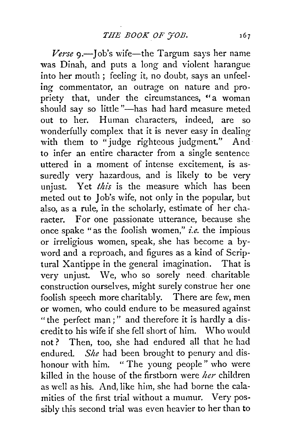*Verse* 9.—Job's wife—the Targum says her name was Dinah, and puts a long and violent harangue into her mouth ; feeling it, no doubt, says an unfeeling commentator, an outrage on nature and propriety that, under the circumstances. "a woman should say so little "-has had hard measure meted out to her. Human characters, indeed, are so wonderfully complex that it is never easy in dealing with them to "judge righteous judgment." And to infer an entire character from a single sentence uttered in a moment of intense excitement, is assuredly very hazardous, and is likely to be very unjust. Yet *this* is the measure which has been meted out to Job's wife, not only in the popular, but also, as a rule, in the scholarly, estimate of her character. For one passionate utterance, because she once spake "as the foolish women," *i.e.* the impious or irreligious women, speak, she has become a byword and a reproach, and figures as a kind of Scriptural Xantippe in the general imagination. That is very unjust. We, who so sorely need. charitable construction ourselves, might surely construe her one foolish speech more charitably. There are few, men or women, who could endure to be measured against "the perfect man ; " and therefore it is hardly a discredit to his wife if she fell short of him. Who would not? Then, too, she had endured all that he had endured. *She* had been brought to penury and dishonour with him. " The young people" who were killed in the house of the firstborn were *her* children as well as his. And, like him, she had borne the calamities of the first trial without a mumur. Very possibly this second trial was even heavier to her than to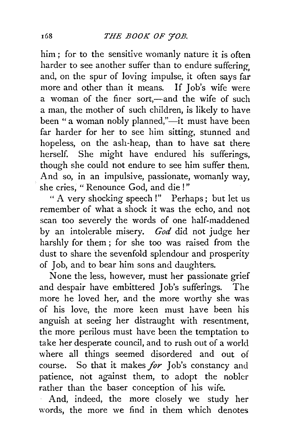him; for to the sensitive womanly nature it is often harder to see another suffer than to endure suffering and, on the spur of loving impulse, it often says far more and other than it means. If Job's wife were a woman of the finer sort,—and the wife of such a man, the mother of such children, is likely to have been " a woman nobly planned,"—it must have been far harder for her to see him sitting, stunned and hopeless, on the ash-heap, than to have sat there herself. She might have endured his sufferings, though she could not endure to see him suffer them. And so, in an impulsive, passionate, womanly way, she cries, " Renounce God, and die ! "

"A very shocking speech!" Perhaps; but let us remember of what a shock it was the echo, and not scan too severely the words of one half-maddened by an intolerable misery. *God* did not judge her harshly for them; for she too was raised from the dust to share the sevenfold splendour and prosperity of Job, and to bear him sons and daughters.

None the less, however, must her passionate grief and despair have embittered Job's sufferings. The more he loved her, and the more worthy she was of his love, the more keen must have been his anguish at seeing her distraught with resentment, the more perilous must have been the temptation to take her desperate council, and to rush out of a world where all things seemed disordered and out of course. So that it makes *for* Job's constancy and patience, not against them, to adopt the nobler rather than the baser conception of his wife.

And, indeed, the more closely we study her words, the more we find in them which denotes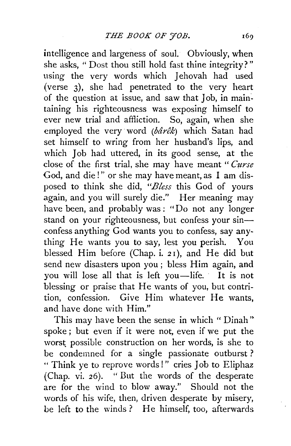intelligence and largeness of soul. Obviously, when she asks, " Dost thou still hold fast thine integrity?" using the very words which Jehovah had used (verse 3), she had penetrated to the very heart of the question at issue, and saw that  $\overline{J}$  ob, in maintaining his righteousness was exposing himself to ever new trial and affliction. So, again, when she employed the very word  $(b\hat{a}\hat{r}\hat{e}k)$  which Satan had set himself to wring from her husband's lips, and which Job had uttered, in its good sense, at the close of the first trial, she may have meant " *Curse*  God, and die!" or she may have meant, as I am disposed to think she did, *"Bless* this God of yours again, and you will surely die." Her meaning may have been, and probably was: "Do not any longer stand on your righteousness, but confess your sinconfess anything God wants you to confess, say anything He wants you to say, lest you perish. You blessed Him before (Chap. i. *2* I), and He did but send new disasters upon you ; bless Him again, and you will lose all that is left you-life. It is not blessing or praise that He wants of you, but contrition, confession. Give Him whatever He wants, and have done with Him."

This may have been the sense in which "Dinah" spoke ; but even if it were not, even if we put the worst possible construction on her words, is she to be condemned for a single passionate outburst ? " Think ye to reprove words!" cries Job to Eliphaz (Chap. vi. 26). "But the words of the desperate are for the wind to blow away." Should not the words of his wife, then, driven desperate by misery, be left to the winds? He himself, too, afterwards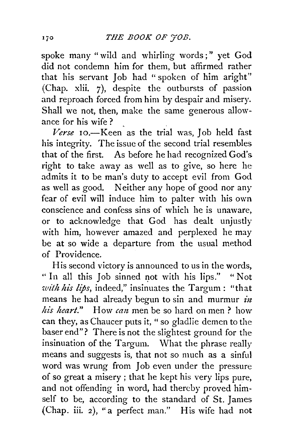spoke many "wild and whirling words;" yet God did not condemn him for them, but affirmed rather that his servant Job had "spoken of him aright" (Chap. xlii. 7), despite the outbursts of passion and reproach forced from him by despair and misery. Shall we not, then, make the same generous allowance for his wife?

*Verse* 10.-Keen as the trial was, Job held fast his integrity. The issue of the second trial resembles that of the first. As before he had recognized God's right to take away as well as to give, so here he admits it to be man's duty to accept evil from God as well as good. Neither any hope of good nor any fear of evil will induce him to palter with his own conscience and confess sins of which he is unaware, or to acknowledge that God has dealt unjustly with him, however amazed and perplexed he may be at so wide a departure from the usual method of Providence.

His second victory is announced to us in the words, " In all this Job sinned not with his lips." "Not *with hi's lips,* indeed," insinuates the Targum: "that means he had already begun to sin and murmur *in* his heart." How can men be so hard on men? how can they, as Chaucer puts it, "so gladlie demen to the baser end"? There is not the slightest ground for the insinuation of the Targum. What the phrase really means and suggests is, that not so much as a sinful word was wrung from Job even under the pressure of so great a misery; that he kept his very lips pure, and not offending in word, had thereby proved himself to be, according to the standard of St. James (Chap. iii. 2), "a perfect man." His wife had not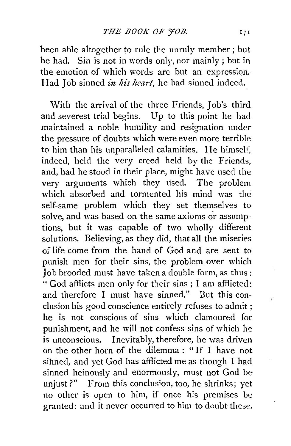been able altogether to rule the unruly member; but he had. Sin is not in words only, nor mainly ; but in the emotion of which words are but an expression. Had Job sinned *in his heart*, he had sinned indeed.

With the arrival of the three Friends, Job's third and severest trial begins. Up to this point he had maintained a noble humility and resignation under the pressure of doubts which were even more terrible to him than his unparalleled calamities. He himself, indeed, held the very creed held by the Friends, and, had he stood in their place, might have used the very arguments which they used. The problem which absorbed and tormented his mind was the self-same problem which they set themselves to solve, and was based on the same axioms or assumptions, but it was capable of two wholly different solutions. Believing, as they did, that all the miseries of life come from the hand of God and are sent to punish men for their sins, the problem over which Job brooded must have taken a double form, as thus: " God afflicts men only for their sins ; I am afflicted: and therefore I must have sinned." But this conclusion his good conscience entirely refuses to admit ; he is not conscious of sins which clamoured for punishment, and he will not confess sins of which he is unconscious. Inevitably, therefore, he was driven on the other horn of the dilemma: "If I have not sinned, and yet God has afflicted me as though I had sinned heinously and enormously, must not God be unjust?" From this conclusion, too, he shrinks; yet no other is open to him, if once his premises be granted: and it never occurred to him to doubt these.

 $\overline{1}$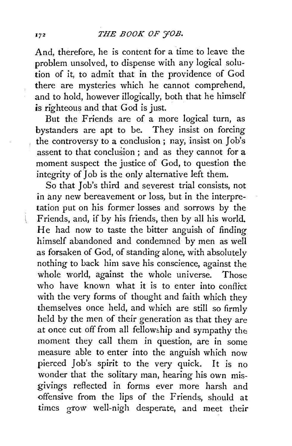And, therefore, he is content for a time to leave the problem unsolved, to dispense with any logical solution of it, to admit that in the providence of God there are mysteries which he cannot comprehend, and to hold, however illogically, both that he himself is righteous and that God is just.

But the Friends are of a more logical turn, as bystanders are apt to be. They insist on forcing the controversy to a conclusion ; nay, insist on Job's assent to that conclusion ; and as they cannot for a moment suspect the justice of God, to question the integrity of Job is the only alternative left them.

So that Job's third and severest trial consists, not in any new bereavement or loss, but in the interpretation put on his former losses and sorrows by the Friends, and, if by his friends, then by all his world. He had now to taste the bitter anguish of finding himself abandoned and condemned by men as well as forsaken of God, of standing alone, with absolutely nothing to back him save his conscience, against the whole world, against the whole universe. Those who have known what it is to enter into conflict with the very forms of thought and faith which they themselves once held, and which are still so firmly held by the men of their generation as that they are at once cut off from all fellowship and sympathy the moment they call them in question, are in some measure able to enter into the anguish which now pierced Job's spirit to the very quick. It is no wonder that the solitary man, hearing his own misgivings reflected in forms ever more harsh and offensive from the lips of the Friends, should at times grow well-nigh desperate, and meet their

 $\mathfrak{t}$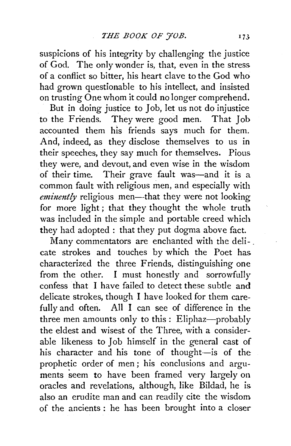suspicions of his integrity by challenging the justice of God. The only wonder is, that, even in the stress of a conflict so bitter, his heart clave to the God who had grown questionable to his intellect, and insisted on trusting One whom it could no longer comprehend.

But in doing justice to Job, let us not do injustice to the Friends. They were good men. That Job accounted them his friends says much for them. And, indeed, as they disclose themselves to us in their speeches, they say much for themselves. Pious they were, and devout, and even wise in the wisdom of their time. Their grave fault was-and it is a common fault with religious men, and especially with *eminently* religious men—that they were not looking for more light; that they thought the whole truth was included in the simple and portable creed which they had adopted : that they put dogma above fact.

Many commentators are enchanted with the deli-. cate strokes and touches by which the Poet has characterized the three Friends, distinguishing one from the other. I must honestly and sorrowfully confess that I have failed to detect these subtle and delicate strokes, though I have looked for them carefully and often. All I can see of difference in the three men amounts only to this : Eliphaz-probably the eldest and wisest of the Three, with a considerable likeness to Job himself in the general cast of his character and his tone of thought-is of the prophetic order of men ; his conclusions and arguments seem to have been framed very largely on oracles and revelations, although, like Bildad, he is also an erudite man and can readily cite the wisdom of the ancients : he has been brought into a closer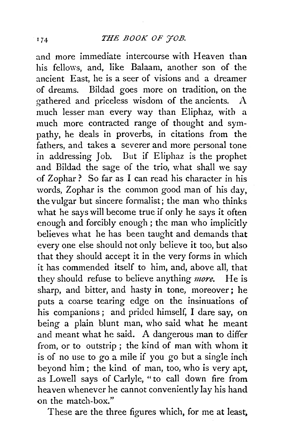and more immediate intercourse with Heaven than his fellows, and, like Balaam, another son of the ancient East, he is a seer of visions and a dreamer of dreams. Bildad goes more on tradition, on the gathered and priceless wisdom of the ancients.  $A$ much lesser man every way than Eliphaz, with a much more contracted range of thought and sympathy, he deals in proverbs, in citations from the fathers, and takes a severer and more personal tone in addressing Job. But if Eliphaz is the prophet and Bildad the sage of the trio, what shall we say of Zophar? So far as I can read his character in his words, Zophar is the common good man of his day, the vulgar but sincere formalist; the man who thinks what he says will become true if only he says it often enough and forcibly enough ; the man who implicitly believes what he has been taught and demands that every one else should not only believe it too, but also that they should accept it in the very forms in which it has commended itself to him, and, above all, that they should refuse to believe anything *more.* He is sharp, and bitter, and hasty in tone, moreover ; he puts a coarse tearing edge on the insinuations of his companions; and prided himself, I dare say, on being a plain blunt man, who said what he meant and meant what he said. A dangerous man to differ from, or to outstrip ; the kind of man with whom it is of no use to go a mile if you go but a single inch beyond him; the kind of man, too, who is very apt, as Lowell says of Carlyle, "to call down fire from heaven whenever he cannot conveniently lay his hand on the match-box."

These are the three figures which, for me at least,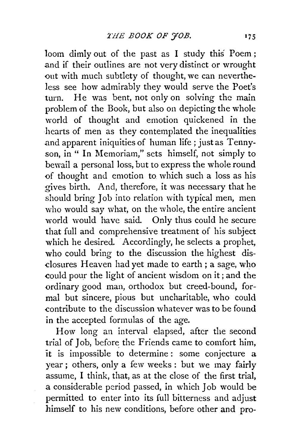loom dimly out of the past as I study this Poem ; and if their outlines are not very distinct or wrought out with much subtlety of thought, we can nevertheless see how admirably they would serve the Poet's turn. He was bent, not only on solving the main problem of the Book, but also on depicting the whole world of thought and emotion quickened in the hearts of men as they contemplated the inequalities and apparent iniquities of human life; just as Tennyson, in " In Memoriam," sets himself, not simply to bewail a personal loss, but to express the whole round of thought and emotion to which such a loss as his gives birth. And, therefore, it was necessary that he should bring Job into relation with typical men, men who would say what, on the whole, the entire ancient world would have said. Only thus could he secure that full and comprehensive treatment of his subject which he desired. Accordingly, he selects a prophet, who could bring to the discussion the highest disclosures Heaven had yet made to earth; a sage, who could pour the light of ancient wisdom on it; and the ordinary good man, orthodox but creed-bound, formal but sincere, pious but uncharitable, who could contribute to the discussion whatever was to be found in the accepted formulas of the age.

How long an interval elapsed, after the second trial of Job, before the Friends came to comfort him, it is impossible to determine: some conjecture a year ; others, only a few weeks : but we may fairly assume, I think, that, as at the close of the first trial, a considerable period passed, in which Job would be permitted to enter into its full bitterness and adjust himself to his new conditions, before other and pro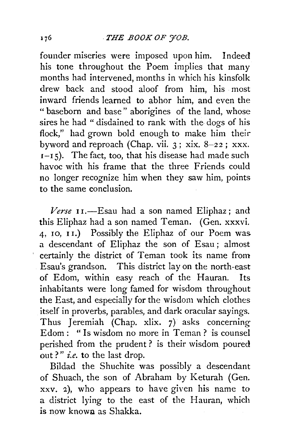founder miseries were imposed upon him. Indeed his tone throughout the Poem implies that many months had intervened, months in which his kinsfolk drew back and stood aloof from him, his most inward friends learned to abhor him, and even the " baseborn and base" aborigines of the land, whose sires he had " disdained to rank with the dogs of his flock," had grown bold enough to make him their byword and reproach (Chap. vii.  $3$ ; xix.  $8-22$ ; xxx.  $I-I$ 5). The fact, too, that his disease had made such havoc with his frame that the three Friends could no longer recognize him when they saw him, points to the same conclusion.

Verse II.-Esau had a son named Eliphaz; and this Eliphaz had a son named Teman. (Gen. xxxvi. 4, 10, I 1.) Possibly the Eliphaz of our Poem was a descendant of Eliphaz the son of Esau ; almost certainly the district of Teman took its name from Esau's grandson. This district lay on the north-east of Edom, within easy reach of the Hauran. Its inhabitants were long famed for wisdom throughout the East, and especially for the wisdom which clothes itself in proverbs, parables, and dark oracular sayings. Thus Jeremiah (Chap. xlix. 7) asks concerning Edom: "Is wisdom no more in Teman? is counsel perished from the prudent ? is their wisdom poured out ? " *i.e.* to the last drop.

Bildad the Shuchite was possibly a descendant of Shuach, the son of Abraham by Keturah (Gen. xxv. 2.), who appears to have given his name to a district lying to the east of the Hauran, which is now known as Shakka.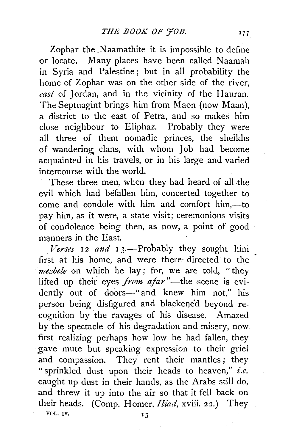Zophar the Naamathite it is impossible to define or locate. Many places have been called Naamah in Syria and Palestine ; but in all probability the home of Zophar was on the other side of the river, *east* of Jordan, and in the vicinity of the Hauran. The Septuagint brings him from Maon (now Maan), a district to the east of Petra, and so makes him close neighbour to Eliphaz. Probably they were all three of them nomadic princes, the sheikhs of wandering; clans, with whom Job had become acquainted in his travels, or in his large and varied intercourse with the world.

These three men, when they had heard of all the evil which had befallen him, concerted together to come and condole with him and comfort him,--- to pay him, as it were, a state visit; ceremonious visits of condolence being then, as now, a point of good manners in the East.

Verses 12 and 13.-Probably they sought him first at his home, and were there- directed to the *mezbele* on which he lay; for, we are told, "they lifted up their eyes *from afar*"-the scene is evidently out of doors-"and knew him not," his person being disfigured and blackened beyond recognition by the ravages of his disease. Amazed by the spectacle of his degradation and misery, now first realizing perhaps how low he had fallen, they gave mute but speaking expression to their grief and compassion. They rent their mantles; they "sprinkled dust upon their heads to heaven," *i.e.* caught up dust in their hands, as the Arabs still do, and threw it up into the air so that it fell back on their heads. (Comp. Homer, *Iliad,* xviii. 22.) They VOL. 1V.  $13$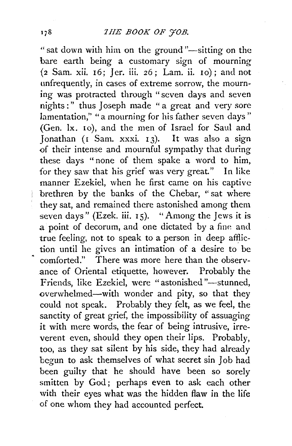" sat down with him on the ground "-sitting on the bare earth being a customary sign of mourning \2 Sam. xii. I 6; J er. iii. *z6* ; Lam. ii. IO) ; and not unfrequently, in cases of extreme sorrow, the mourning was protracted through "seven days and seven nights:" thus Joseph made " a great and very sore lamentation," " a mourning for his father seven days" (Gen. lx. 10), and the men of Israel for Saul and Jonathan  $(I \n<sub>S</sub>an. xxxi. 13)$ . It was also a sign of their intense and mournful sympathy that during these days "none of them spake a word to him, for they saw that his grief was very great." In like manner Ezekiel, when he first came on his captive brethren by the banks of the Chebar, "sat where they sat, and remained there astonished among them seven days" (Ezek. iii. 15). "Among the Jews it is  $a$  point of decorum, and one dictated by a fine and true feeling, not to speak to a person in deep affliction until he gives an intimation of a desire to be comforted." There was more here than the observance of Oriental etiquette, however. Probably the Friends, like Ezekiel, were "astonished"-stunned, overwhelmed-with wonder and pity, so that they could not speak. Probably they felt, as we feel, the sanctity of great grief, the impossibility of assuaging it with mere words, the fear of being intrusive, irreverent even, should they open their lips. Probably, too, as they sat silent by his side, they had already begun to ask themselves of what secret sin Job had been guilty that he should have been so sorely smitten by God; perhaps even to ask each other with their eyes what was the hidden flaw in the life of one whom they had accounted perfect.